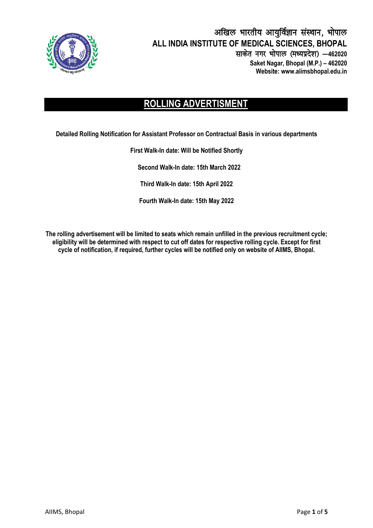

#### अखिल भारतीय आयुर्विज्ञान संस्थान, भोपाल **ALL INDIA INSTITUTE OF MEDICAL SCIENCES, BHOPAL** साकेत नगर भोपाल (मध्यप्रदेश) -462020  **Saket Nagar, Bhopal (M.P.) – 462020 Website: www.aiimsbhopal.edu.in**

## **ROLLING ADVERTISMENT**

**Detailed Rolling Notification for Assistant Professor on Contractual Basis in various departments**

# **First Walk-In date: Will be Notified Shortly**

**Second Walk-In date: 15th March 2022**

**Third Walk-In date: 15th April 2022**

**Fourth Walk-In date: 15th May 2022**

**The rolling advertisement will be limited to seats which remain unfilled in the previous recruitment cycle; eligibility will be determined with respect to cut off dates for respective rolling cycle. Except for first cycle of notification, if required, further cycles will be notified only on website of AIIMS, Bhopal.**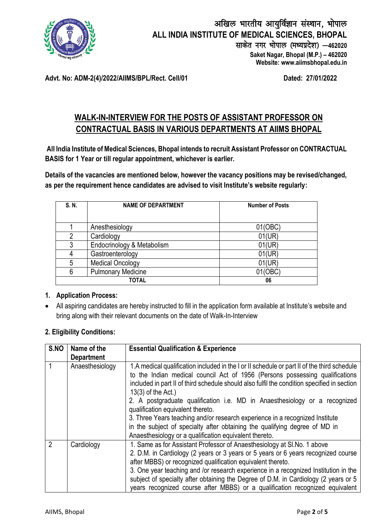

**Advt. No: ADM-2(4)/2022/AIIMS/BPL/Rect. Cell/01 Dated: 27/01/2022**

### **WALK-IN-INTERVIEW FOR THE POSTS OF ASSISTANT PROFESSOR ON CONTRACTUAL BASIS IN VARIOUS DEPARTMENTS AT AIIMS BHOPAL**

**All India Institute of Medical Sciences, Bhopal intends to recruit Assistant Professor on CONTRACTUAL BASIS for 1 Year or till regular appointment, whichever is earlier.**

**Details of the vacancies are mentioned below, however the vacancy positions may be revised/changed, as per the requirement hence candidates are advised to visit Institute's website regularly:** 

| S. N. | <b>NAME OF DEPARTMENT</b>  | <b>Number of Posts</b> |  |
|-------|----------------------------|------------------------|--|
|       |                            |                        |  |
|       | Anesthesiology             | 01(OBC)                |  |
| 2     | Cardiology                 | 01(UR)                 |  |
| 3     | Endocrinology & Metabolism | 01(UR)                 |  |
|       | Gastroenterology           | 01(UR)                 |  |
| 5     | <b>Medical Oncology</b>    | 01(UR)                 |  |
| 6     | <b>Pulmonary Medicine</b>  | 01(OBC)                |  |
|       | TOTAL                      | 06                     |  |

#### **1. Application Process:**

 All aspiring candidates are hereby instructed to fill in the application form available at Institute's website and bring along with their relevant documents on the date of Walk-In-Interview

#### **2. Eligibility Conditions:**

| S.NO           | Name of the<br><b>Department</b> | <b>Essential Qualification &amp; Experience</b>                                                                                                                                                                                                                                                                                                                                                                                                                                                                                                                                                                                               |
|----------------|----------------------------------|-----------------------------------------------------------------------------------------------------------------------------------------------------------------------------------------------------------------------------------------------------------------------------------------------------------------------------------------------------------------------------------------------------------------------------------------------------------------------------------------------------------------------------------------------------------------------------------------------------------------------------------------------|
|                | Anaesthesiology                  | 1.A medical qualification included in the I or II schedule or part II of the third schedule<br>to the Indian medical council Act of 1956 (Persons possessing qualifications<br>included in part II of third schedule should also fulfil the condition specified in section<br>$13(3)$ of the Act.)<br>2. A postgraduate qualification i.e. MD in Anaesthesiology or a recognized<br>qualification equivalent thereto.<br>3. Three Years teaching and/or research experience in a recognized Institute<br>in the subject of specialty after obtaining the qualifying degree of MD in<br>Anaesthesiology or a qualification equivalent thereto. |
| $\mathfrak{p}$ | Cardiology                       | 1. Same as for Assistant Professor of Anaesthesiology at SI. No. 1 above<br>2. D.M. in Cardiology (2 years or 3 years or 5 years or 6 years recognized course<br>after MBBS) or recognized qualification equivalent thereto.<br>3. One year teaching and /or research experience in a recognized Institution in the<br>subject of specialty after obtaining the Degree of D.M. in Cardiology (2 years or 5<br>years recognized course after MBBS) or a qualification recognized equivalent                                                                                                                                                    |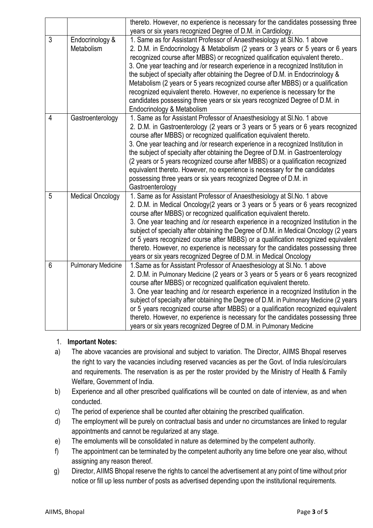|                |                               | thereto. However, no experience is necessary for the candidates possessing three                                                                                                                                                                                                                                                                                                                                                                                                                                                                                                                                                                                                               |  |
|----------------|-------------------------------|------------------------------------------------------------------------------------------------------------------------------------------------------------------------------------------------------------------------------------------------------------------------------------------------------------------------------------------------------------------------------------------------------------------------------------------------------------------------------------------------------------------------------------------------------------------------------------------------------------------------------------------------------------------------------------------------|--|
|                |                               | years or six years recognized Degree of D.M. in Cardiology.                                                                                                                                                                                                                                                                                                                                                                                                                                                                                                                                                                                                                                    |  |
| $\mathfrak{Z}$ | Endocrinology &<br>Metabolism | 1. Same as for Assistant Professor of Anaesthesiology at SI. No. 1 above<br>2. D.M. in Endocrinology & Metabolism (2 years or 3 years or 5 years or 6 years<br>recognized course after MBBS) or recognized qualification equivalent thereto<br>3. One year teaching and /or research experience in a recognized Institution in<br>the subject of specialty after obtaining the Degree of D.M. in Endocrinology &<br>Metabolism (2 years or 5 years recognized course after MBBS) or a qualification<br>recognized equivalent thereto. However, no experience is necessary for the<br>candidates possessing three years or six years recognized Degree of D.M. in<br>Endocrinology & Metabolism |  |
| $\overline{4}$ | Gastroenterology              | 1. Same as for Assistant Professor of Anaesthesiology at SI. No. 1 above<br>2. D.M. in Gastroenterology (2 years or 3 years or 5 years or 6 years recognized<br>course after MBBS) or recognized qualification equivalent thereto.<br>3. One year teaching and /or research experience in a recognized Institution in<br>the subject of specialty after obtaining the Degree of D.M. in Gastroenterology<br>(2 years or 5 years recognized course after MBBS) or a qualification recognized<br>equivalent thereto. However, no experience is necessary for the candidates<br>possessing three years or six years recognized Degree of D.M. in<br>Gastroenterology                              |  |
| 5              | <b>Medical Oncology</b>       | 1. Same as for Assistant Professor of Anaesthesiology at SI. No. 1 above<br>2. D.M. in Medical Oncology(2 years or 3 years or 5 years or 6 years recognized<br>course after MBBS) or recognized qualification equivalent thereto.<br>3. One year teaching and /or research experience in a recognized Institution in the<br>subject of specialty after obtaining the Degree of D.M. in Medical Oncology (2 years<br>or 5 years recognized course after MBBS) or a qualification recognized equivalent<br>thereto. However, no experience is necessary for the candidates possessing three<br>years or six years recognized Degree of D.M. in Medical Oncology                                  |  |
| $6\phantom{1}$ | <b>Pulmonary Medicine</b>     | 1. Same as for Assistant Professor of Anaesthesiology at SI. No. 1 above<br>2. D.M. in Pulmonary Medicine (2 years or 3 years or 5 years or 6 years recognized<br>course after MBBS) or recognized qualification equivalent thereto.<br>3. One year teaching and /or research experience in a recognized Institution in the<br>subject of specialty after obtaining the Degree of D.M. in Pulmonary Medicine (2 years<br>or 5 years recognized course after MBBS) or a qualification recognized equivalent<br>thereto. However, no experience is necessary for the candidates possessing three<br>years or six years recognized Degree of D.M. in Pulmonary Medicine                           |  |

#### 1. **Important Notes:**

- a) The above vacancies are provisional and subject to variation. The Director, AIIMS Bhopal reserves the right to vary the vacancies including reserved vacancies as per the Govt. of India rules/circulars and requirements. The reservation is as per the roster provided by the Ministry of Health & Family Welfare, Government of India.
- b) Experience and all other prescribed qualifications will be counted on date of interview, as and when conducted.
- c) The period of experience shall be counted after obtaining the prescribed qualification.
- d) The employment will be purely on contractual basis and under no circumstances are linked to regular appointments and cannot be regularized at any stage.
- e) The emoluments will be consolidated in nature as determined by the competent authority.
- f) The appointment can be terminated by the competent authority any time before one year also, without assigning any reason thereof.
- g) Director, AIIMS Bhopal reserve the rights to cancel the advertisement at any point of time without prior notice or fill up less number of posts as advertised depending upon the institutional requirements.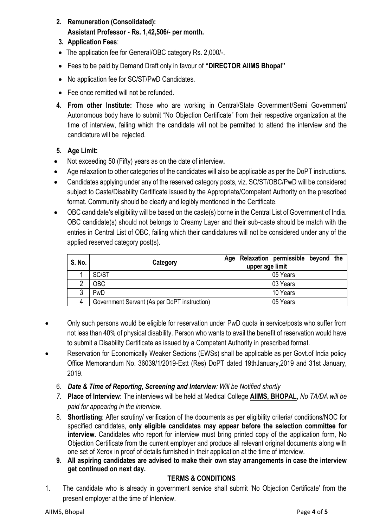- **2. Remuneration (Consolidated): Assistant Professor - Rs. 1,42,506/- per month.**
- **3. Application Fees**:
- The application fee for General/OBC category Rs. 2,000/-.
- Fees to be paid by Demand Draft only in favour of **"DIRECTOR AIIMS Bhopal"**
- No application fee for SC/ST/PwD Candidates.
- Fee once remitted will not be refunded.
- **4. From other Institute:** Those who are working in Central/State Government/Semi Government/ Autonomous body have to submit "No Objection Certificate" from their respective organization at the time of interview, failing which the candidate will not be permitted to attend the interview and the candidature will be rejected.

#### **5. Age Limit:**

- Not exceeding 50 (Fifty) years as on the date of interview**.**
- Age relaxation to other categories of the candidates will also be applicable as per the DoPT instructions.
- Candidates applying under any of the reserved category posts, viz. SC/ST/OBC/PwD will be considered subject to Caste/Disability Certificate issued by the Appropriate/Competent Authority on the prescribed format. Community should be clearly and legibly mentioned in the Certificate.
- OBC candidate's eligibility will be based on the caste(s) borne in the Central List of Government of India. OBC candidate(s) should not belongs to Creamy Layer and their sub-caste should be match with the entries in Central List of OBC, failing which their candidatures will not be considered under any of the applied reserved category post(s).

| S. No. | Category                                     | Relaxation permissible beyond the<br>Aqe<br>upper age limit |
|--------|----------------------------------------------|-------------------------------------------------------------|
|        | SC/ST                                        | 05 Years                                                    |
| ∩      | <b>OBC</b>                                   | 03 Years                                                    |
| 3      | PwD                                          | 10 Years                                                    |
| 4      | Government Servant (As per DoPT instruction) | 05 Years                                                    |

- Only such persons would be eligible for reservation under PwD quota in service/posts who suffer from not less than 40% of physical disability. Person who wants to avail the benefit of reservation would have to submit a Disability Certificate as issued by a Competent Authority in prescribed format.
- Reservation for Economically Weaker Sections (EWSs) shall be applicable as per Govt.of India policy Office Memorandum No. 36039/1/2019-Estt (Res) DoPT dated 19thJanuary,2019 and 31st January, 2019.
	- 6. *Date & Time of Reporting, Screening and Interview: Will be Notified shortly*
	- *7.* **Place of Interview:** The interviews will be held at Medical College **AIIMS, BHOPAL**, *No TA/DA will be paid for appearing in the interview.*
	- 8. **Shortlisting**: After scrutiny/ verification of the documents as per eligibility criteria/ conditions/NOC for specified candidates, **only eligible candidates may appear before the selection committee for interview.** Candidates who report for interview must bring printed copy of the application form, No Objection Certificate from the current employer and produce all relevant original documents along with one set of Xerox in proof of details furnished in their application at the time of interview.
	- **9. All aspiring candidates are advised to make their own stay arrangements in case the interview get continued on next day.**

#### **TERMS & CONDITIONS**

1. The candidate who is already in government service shall submit 'No Objection Certificate' from the present employer at the time of Interview.